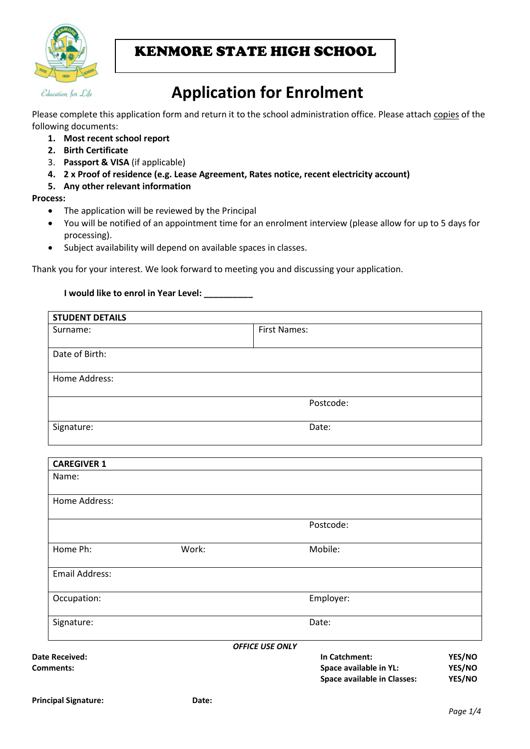

## KENMORE STATE HIGH SCHOOL

# **Application for Enrolment**

Please complete this application form and return it to the school administration office. Please attach copies of the following documents:

- **1. Most recent school report**
- **2. Birth Certificate**
- 3. **Passport & VISA** (if applicable)
- **4. 2 x Proof of residence (e.g. Lease Agreement, Rates notice, recent electricity account)**
- **5. Any other relevant information**

#### **Process:**

- The application will be reviewed by the Principal
- You will be notified of an appointment time for an enrolment interview (please allow for up to 5 days for processing).
- Subject availability will depend on available spaces in classes.

Thank you for your interest. We look forward to meeting you and discussing your application.

#### **I would like to enrol in Year Level: \_\_\_\_\_\_\_\_\_\_**

| <b>STUDENT DETAILS</b>      |       |                                                                               |                            |
|-----------------------------|-------|-------------------------------------------------------------------------------|----------------------------|
| Surname:                    |       | <b>First Names:</b>                                                           |                            |
| Date of Birth:              |       |                                                                               |                            |
| Home Address:               |       |                                                                               |                            |
|                             |       | Postcode:                                                                     |                            |
| Signature:                  | Date: |                                                                               |                            |
| <b>CAREGIVER 1</b>          |       |                                                                               |                            |
| Name:                       |       |                                                                               |                            |
| Home Address:               |       |                                                                               |                            |
|                             |       | Postcode:                                                                     |                            |
| Home Ph:                    | Work: | Mobile:                                                                       |                            |
| <b>Email Address:</b>       |       |                                                                               |                            |
| Occupation:                 |       | Employer:                                                                     |                            |
| Signature:                  |       | Date:                                                                         |                            |
|                             |       | <b>OFFICE USE ONLY</b>                                                        |                            |
| Date Received:<br>Comments: |       | In Catchment:<br>Space available in YL:<br><b>Space available in Classes:</b> | YES/NO<br>YES/NO<br>YES/NO |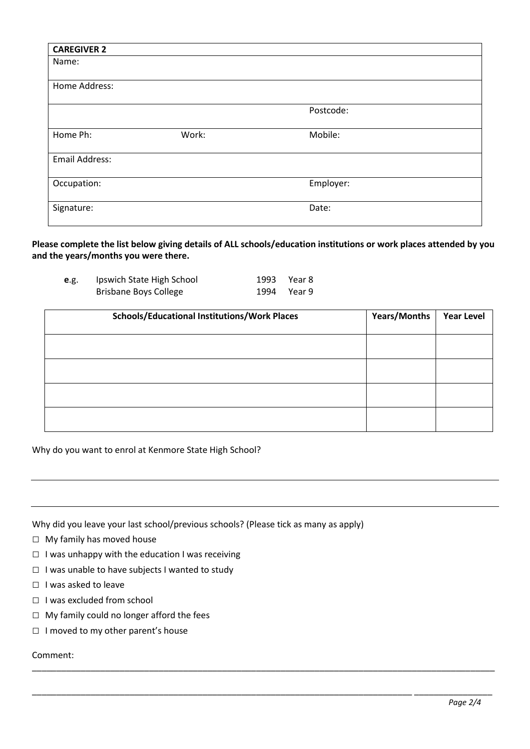| <b>CAREGIVER 2</b>    |       |           |
|-----------------------|-------|-----------|
| Name:                 |       |           |
|                       |       |           |
| Home Address:         |       |           |
|                       |       |           |
|                       |       | Postcode: |
|                       |       |           |
| Home Ph:              | Work: | Mobile:   |
|                       |       |           |
| <b>Email Address:</b> |       |           |
|                       |       |           |
| Occupation:           |       | Employer: |
|                       |       |           |
| Signature:            |       | Date:     |
|                       |       |           |

**Please complete the list below giving details of ALL schools/education institutions or work places attended by you and the years/months you were there.**

| e.g. | Ipswich State High School    | 1993 Year 8 |
|------|------------------------------|-------------|
|      | <b>Brisbane Boys College</b> | 1994 Year 9 |

| <b>Schools/Educational Institutions/Work Places</b> | Years/Months | <b>Year Level</b> |
|-----------------------------------------------------|--------------|-------------------|
|                                                     |              |                   |
|                                                     |              |                   |
|                                                     |              |                   |
|                                                     |              |                   |

\_\_\_\_\_\_\_\_\_\_\_\_\_\_\_\_\_\_\_\_\_\_\_\_\_\_\_\_\_\_\_\_\_\_\_\_\_\_\_\_\_\_\_\_\_\_\_\_\_\_\_\_\_\_\_\_\_\_\_\_\_\_\_\_\_\_\_\_\_\_\_\_\_\_\_\_\_\_\_\_\_\_\_\_\_\_\_\_\_\_\_\_\_\_\_

\_\_\_\_\_\_\_\_\_\_\_\_\_\_\_\_\_\_\_\_\_\_\_\_\_\_\_\_\_\_\_\_\_\_\_\_\_\_\_\_\_\_\_\_\_\_\_\_\_\_\_\_\_\_\_\_\_\_\_\_\_\_\_\_\_\_\_\_\_\_\_\_\_\_\_\_\_\_ \_\_\_\_\_\_\_\_\_\_\_\_\_\_\_\_

Why do you want to enrol at Kenmore State High School?

Why did you leave your last school/previous schools? (Please tick as many as apply)

- □ My family has moved house
- $\Box$  I was unhappy with the education I was receiving
- □ I was unable to have subjects I wanted to study
- □ I was asked to leave
- □ I was excluded from school
- □ My family could no longer afford the fees
- □ I moved to my other parent's house

Comment: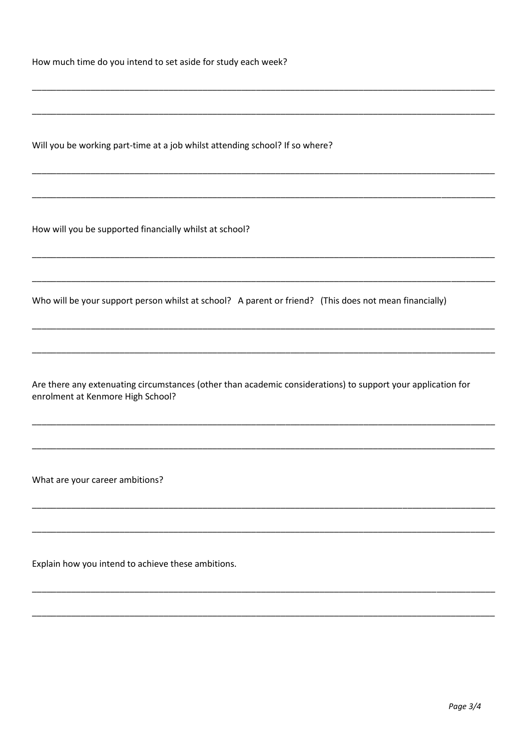How much time do you intend to set aside for study each week?

Will you be working part-time at a job whilst attending school? If so where?

How will you be supported financially whilst at school?

Who will be your support person whilst at school? A parent or friend? (This does not mean financially)

Are there any extenuating circumstances (other than academic considerations) to support your application for enrolment at Kenmore High School?

What are your career ambitions?

Explain how you intend to achieve these ambitions.